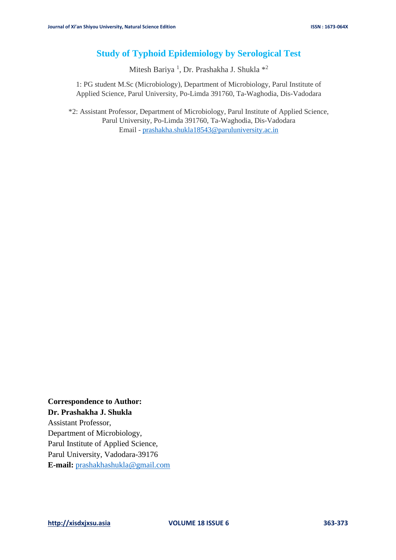# **Study of Typhoid Epidemiology by Serological Test**

Mitesh Bariya<sup>1</sup>, Dr. Prashakha J. Shukla<sup>\*2</sup>

1: PG student M.Sc (Microbiology), Department of Microbiology, Parul Institute of Applied Science, Parul University, Po-Limda 391760, Ta-Waghodia, Dis-Vadodara

\*2: Assistant Professor, Department of Microbiology, Parul Institute of Applied Science, Parul University, Po-Limda 391760, Ta-Waghodia, Dis-Vadodara Email - [prashakha.shukla18543@paruluniversity.ac.in](mailto:prashakha.shukla18543@paruluniversity.ac.in)

**Correspondence to Author: Dr. Prashakha J. Shukla** Assistant Professor, Department of Microbiology, Parul Institute of Applied Science, Parul University, Vadodara-39176 **E-mail:** [prashakhashukla@gmail.com](mailto:prashakhashukla@gmail.com)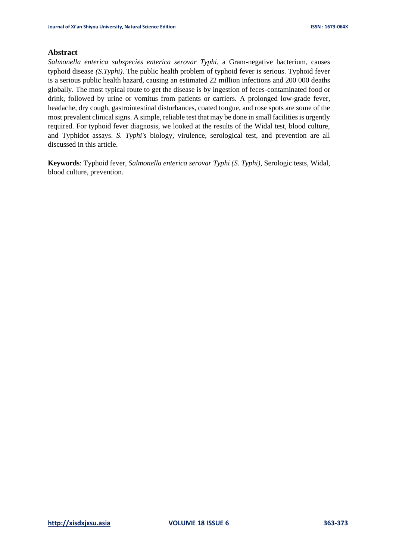# **Abstract**

*Salmonella enterica subspecies enterica serovar Typhi*, a Gram-negative bacterium, causes typhoid disease *(S.Typhi).* The public health problem of typhoid fever is serious. Typhoid fever is a serious public health hazard, causing an estimated 22 million infections and 200 000 deaths globally. The most typical route to get the disease is by ingestion of feces-contaminated food or drink, followed by urine or vomitus from patients or carriers. A prolonged low-grade fever, headache, dry cough, gastrointestinal disturbances, coated tongue, and rose spots are some of the most prevalent clinical signs. A simple, reliable test that may be done in small facilities is urgently required. For typhoid fever diagnosis, we looked at the results of the Widal test, blood culture, and Typhidot assays. *S. Typhi's* biology, virulence, serological test, and prevention are all discussed in this article.

**Keywords**: Typhoid fever, *Salmonella enterica serovar Typhi (S. Typhi)*, Serologic tests, Widal, blood culture, prevention.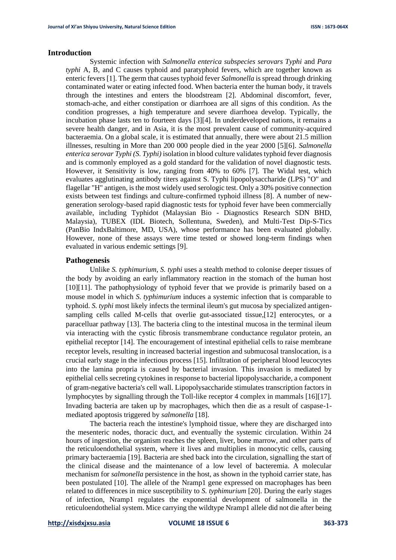# **Introduction**

Systemic infection with *Salmonella enterica subspecies serovars Typhi* and *Para typhi* A, B, and C causes typhoid and paratyphoid fevers, which are together known as enteric fevers [1]. The germ that causes typhoid fever *Salmonella* is spread through drinking contaminated water or eating infected food. When bacteria enter the human body, it travels through the intestines and enters the bloodstream [2]. Abdominal discomfort, fever, stomach-ache, and either constipation or diarrhoea are all signs of this condition. As the condition progresses, a high temperature and severe diarrhoea develop. Typically, the incubation phase lasts ten to fourteen days [3][4]. In underdeveloped nations, it remains a severe health danger, and in Asia, it is the most prevalent cause of community-acquired bacteraemia. On a global scale, it is estimated that annually, there were about 21.5 million illnesses, resulting in More than 200 000 people died in the year 2000 [5][6]. *Salmonella enterica serovar Typhi (S. Typhi)* isolation in blood culture validates typhoid fever diagnosis and is commonly employed as a gold standard for the validation of novel diagnostic tests. However, it Sensitivity is low, ranging from 40% to 60% [7]. The Widal test, which evaluates agglutinating antibody titers against S. Typhi lipopolysaccharide (LPS) "O" and flagellar "H" antigen, is the most widely used serologic test. Only a 30% positive connection exists between test findings and culture-confirmed typhoid illness [8]. A number of newgeneration serology-based rapid diagnostic tests for typhoid fever have been commercially available, including Typhidot (Malaysian Bio - Diagnostics Research SDN BHD, Malaysia), TUBEX (IDL Biotech, Sollentuna, Sweden), and Multi-Test Dip-S-Tics (PanBio IndxBaltimore, MD, USA), whose performance has been evaluated globally. However, none of these assays were time tested or showed long-term findings when evaluated in various endemic settings [9].

#### **Pathogenesis**

Unlike *S. typhimurium*, *S. typhi* uses a stealth method to colonise deeper tissues of the body by avoiding an early inflammatory reaction in the stomach of the human host [10][11]. The pathophysiology of typhoid fever that we provide is primarily based on a mouse model in which *S. typhimurium* induces a systemic infection that is comparable to typhoid. *S. typhi* most likely infects the terminal ileum's gut mucosa by specialized antigensampling cells called M-cells that overlie gut-associated tissue,[12] enterocytes, or a paracelluar pathway [13]. The bacteria cling to the intestinal mucosa in the terminal ileum via interacting with the cystic fibrosis transmembrane conductance regulator protein, an epithelial receptor [14]. The encouragement of intestinal epithelial cells to raise membrane receptor levels, resulting in increased bacterial ingestion and submucosal translocation, is a crucial early stage in the infectious process [15]. Infiltration of peripheral blood leucocytes into the lamina propria is caused by bacterial invasion. This invasion is mediated by epithelial cells secreting cytokines in response to bacterial lipopolysaccharide, a component of gram-negative bacteria's cell wall. Lipopolysaccharide stimulates transcription factors in lymphocytes by signalling through the Toll-like receptor 4 complex in mammals [16][17]. Invading bacteria are taken up by macrophages, which then die as a result of caspase-1 mediated apoptosis triggered by *salmonella* [18].

The bacteria reach the intestine's lymphoid tissue, where they are discharged into the mesenteric nodes, thoracic duct, and eventually the systemic circulation. Within 24 hours of ingestion, the organism reaches the spleen, liver, bone marrow, and other parts of the reticuloendothelial system, where it lives and multiplies in monocytic cells, causing primary bacteraemia [19]. Bacteria are shed back into the circulation, signalling the start of the clinical disease and the maintenance of a low level of bacteremia. A molecular mechanism for *salmonella* persistence in the host, as shown in the typhoid carrier state, has been postulated [10]. The allele of the Nramp1 gene expressed on macrophages has been related to differences in mice susceptibility to *S. typhimurium* [20]. During the early stages of infection, Nramp1 regulates the exponential development of salmonella in the reticuloendothelial system. Mice carrying the wildtype Nramp1 allele did not die after being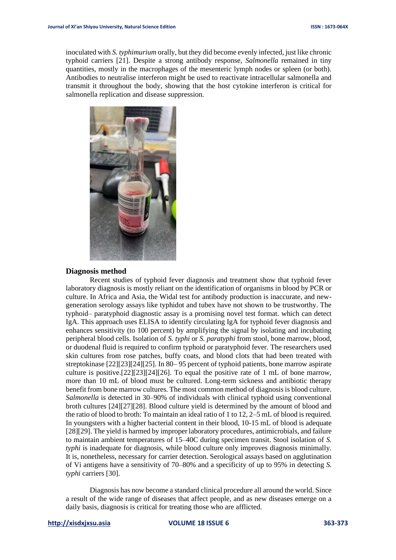inoculated with *S. typhimurium* orally, but they did become evenly infected, just like chronic typhoid carriers [21]. Despite a strong antibody response, *Salmonella* remained in tiny quantities, mostly in the macrophages of the mesenteric lymph nodes or spleen (or both). Antibodies to neutralise interferon might be used to reactivate intracellular salmonella and transmit it throughout the body, showing that the host cytokine interferon is critical for salmonella replication and disease suppression.



### **Diagnosis method**

Recent studies of typhoid fever diagnosis and treatment show that typhoid fever laboratory diagnosis is mostly reliant on the identification of organisms in blood by PCR or culture. In Africa and Asia, the Widal test for antibody production is inaccurate, and newgeneration serology assays like typhidot and tubex have not shown to be trustworthy. The typhoid– paratyphoid diagnostic assay is a promising novel test format. which can detect IgA. This approach uses ELISA to identify circulating IgA for typhoid fever diagnosis and enhances sensitivity (to 100 percent) by amplifying the signal by isolating and incubating peripheral blood cells. Isolation of *S. typhi* or *S. paratyphi* from stool, bone marrow, blood, or duodenal fluid is required to confirm typhoid or paratyphoid fever. The researchers used skin cultures from rose patches, buffy coats, and blood clots that had been treated with streptokinase [22][23][24][25]. In 80– 95 percent of typhoid patients, bone marrow aspirate culture is positive.[22][23][24][26]. To equal the positive rate of 1 mL of bone marrow, more than 10 mL of blood must be cultured. Long-term sickness and antibiotic therapy benefit from bone marrow cultures. The most common method of diagnosis is blood culture. *Salmonella* is detected in 30–90% of individuals with clinical typhoid using conventional broth cultures [24][27][28]. Blood culture yield is determined by the amount of blood and the ratio of blood to broth: To maintain an ideal ratio of 1 to 12, 2–5 mL of blood is required. In youngsters with a higher bacterial content in their blood, 10-15 mL of blood is adequate [28][29]. The yield is harmed by improper laboratory procedures, antimicrobials, and failure to maintain ambient temperatures of 15–40C during specimen transit. Stool isolation of *S. typhi* is inadequate for diagnosis, while blood culture only improves diagnosis minimally. It is, nonetheless, necessary for carrier detection. Serological assays based on agglutination of Vi antigens have a sensitivity of 70–80% and a specificity of up to 95% in detecting *S. typhi* carriers [30].

Diagnosis has now become a standard clinical procedure all around the world. Since a result of the wide range of diseases that affect people, and as new diseases emerge on a daily basis, diagnosis is critical for treating those who are afflicted.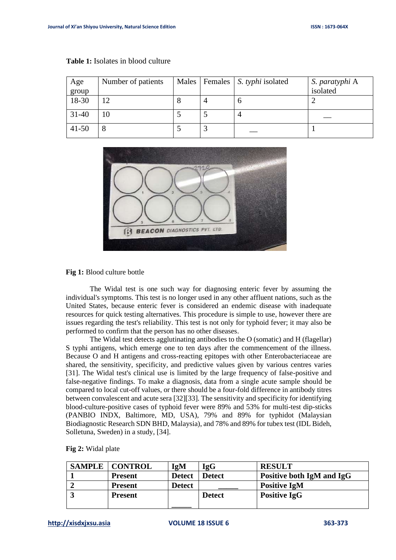| Age       | Number of patients |  | Males   Females   S. typhi isolated | S. paratyphi A |
|-----------|--------------------|--|-------------------------------------|----------------|
| group     |                    |  |                                     | isolated       |
| 18-30     |                    |  | O                                   |                |
| $31 - 40$ |                    |  |                                     |                |
| $41 - 50$ | Ω                  |  |                                     |                |

#### **Table 1:** Isolates in blood culture



## **Fig 1:** Blood culture bottle

The Widal test is one such way for diagnosing enteric fever by assuming the individual's symptoms. This test is no longer used in any other affluent nations, such as the United States, because enteric fever is considered an endemic disease with inadequate resources for quick testing alternatives. This procedure is simple to use, however there are issues regarding the test's reliability. This test is not only for typhoid fever; it may also be performed to confirm that the person has no other diseases.

The Widal test detects agglutinating antibodies to the O (somatic) and H (flagellar) S typhi antigens, which emerge one to ten days after the commencement of the illness. Because O and H antigens and cross-reacting epitopes with other Enterobacteriaceae are shared, the sensitivity, specificity, and predictive values given by various centres varies [31]. The Widal test's clinical use is limited by the large frequency of false-positive and false-negative findings. To make a diagnosis, data from a single acute sample should be compared to local cut-off values, or there should be a four-fold difference in antibody titres between convalescent and acute sera [32][33]. The sensitivity and specificity for identifying blood-culture-positive cases of typhoid fever were 89% and 53% for multi-test dip-sticks (PANBIO INDX, Baltimore, MD, USA), 79% and 89% for typhidot (Malaysian Biodiagnostic Research SDN BHD, Malaysia), and 78% and 89% for tubex test (IDL Bideh, Solletuna, Sweden) in a study, [34].

| <b>SAMPLE   CONTROL</b> | IgM           | IgG           | <b>RESULT</b>             |
|-------------------------|---------------|---------------|---------------------------|
| <b>Present</b>          | <b>Detect</b> | Detect        | Positive both IgM and IgG |
| <b>Present</b>          | <b>Detect</b> |               | <b>Positive IgM</b>       |
| <b>Present</b>          |               | <b>Detect</b> | <b>Positive IgG</b>       |
|                         |               |               |                           |

**Fig 2:** Widal plate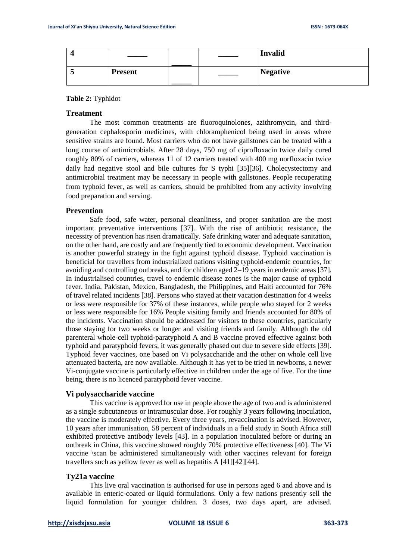|                |  | <b>Invalid</b>  |
|----------------|--|-----------------|
| <b>Present</b> |  | <b>Negative</b> |

## **Table 2:** Typhidot

# **Treatment**

The most common treatments are fluoroquinolones, azithromycin, and thirdgeneration cephalosporin medicines, with chloramphenicol being used in areas where sensitive strains are found. Most carriers who do not have gallstones can be treated with a long course of antimicrobials. After 28 days, 750 mg of ciprofloxacin twice daily cured roughly 80% of carriers, whereas 11 of 12 carriers treated with 400 mg norfloxacin twice daily had negative stool and bile cultures for S typhi [35][36]. Cholecystectomy and antimicrobial treatment may be necessary in people with gallstones. People recuperating from typhoid fever, as well as carriers, should be prohibited from any activity involving food preparation and serving.

## **Prevention**

Safe food, safe water, personal cleanliness, and proper sanitation are the most important preventative interventions [37]. With the rise of antibiotic resistance, the necessity of prevention has risen dramatically. Safe drinking water and adequate sanitation, on the other hand, are costly and are frequently tied to economic development. Vaccination is another powerful strategy in the fight against typhoid disease. Typhoid vaccination is beneficial for travellers from industrialized nations visiting typhoid-endemic countries, for avoiding and controlling outbreaks, and for children aged 2–19 years in endemic areas [37]. In industrialised countries, travel to endemic disease zones is the major cause of typhoid fever. India, Pakistan, Mexico, Bangladesh, the Philippines, and Haiti accounted for 76% of travel related incidents [38]. Persons who stayed at their vacation destination for 4 weeks or less were responsible for 37% of these instances, while people who stayed for 2 weeks or less were responsible for 16% People visiting family and friends accounted for 80% of the incidents. Vaccination should be addressed for visitors to these countries, particularly those staying for two weeks or longer and visiting friends and family. Although the old parenteral whole-cell typhoid-paratyphoid A and B vaccine proved effective against both typhoid and paratyphoid fevers, it was generally phased out due to severe side effects [39]. Typhoid fever vaccines, one based on Vi polysaccharide and the other on whole cell live attenuated bacteria, are now available. Although it has yet to be tried in newborns, a newer Vi-conjugate vaccine is particularly effective in children under the age of five. For the time being, there is no licenced paratyphoid fever vaccine.

## **Vi polysaccharide vaccine**

This vaccine is approved for use in people above the age of two and is administered as a single subcutaneous or intramuscular dose. For roughly 3 years following inoculation, the vaccine is moderately effective. Every three years, revaccination is advised. However, 10 years after immunisation, 58 percent of individuals in a field study in South Africa still exhibited protective antibody levels [43]. In a population inoculated before or during an outbreak in China, this vaccine showed roughly 70% protective effectiveness [40]. The Vi vaccine \scan be administered simultaneously with other vaccines relevant for foreign travellers such as yellow fever as well as hepatitis A [41][42][44].

#### **Ty21a vaccine**

This live oral vaccination is authorised for use in persons aged 6 and above and is available in enteric-coated or liquid formulations. Only a few nations presently sell the liquid formulation for younger children. 3 doses, two days apart, are advised.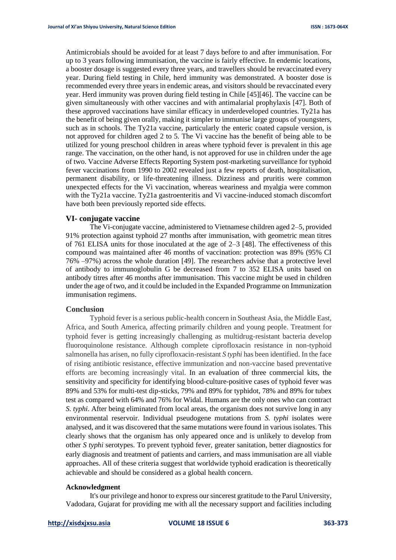Antimicrobials should be avoided for at least 7 days before to and after immunisation. For up to 3 years following immunisation, the vaccine is fairly effective. In endemic locations, a booster dosage is suggested every three years, and travellers should be revaccinated every year. During field testing in Chile, herd immunity was demonstrated. A booster dose is recommended every three years in endemic areas, and visitors should be revaccinated every year. Herd immunity was proven during field testing in Chile [45][46]. The vaccine can be given simultaneously with other vaccines and with antimalarial prophylaxis [47]. Both of these approved vaccinations have similar efficacy in underdeveloped countries. Ty21a has the benefit of being given orally, making it simpler to immunise large groups of youngsters, such as in schools. The Ty21a vaccine, particularly the enteric coated capsule version, is not approved for children aged 2 to 5. The Vi vaccine has the benefit of being able to be utilized for young preschool children in areas where typhoid fever is prevalent in this age range. The vaccination, on the other hand, is not approved for use in children under the age of two. Vaccine Adverse Effects Reporting System post-marketing surveillance for typhoid fever vaccinations from 1990 to 2002 revealed just a few reports of death, hospitalisation, permanent disability, or life-threatening illness. Dizziness and pruritis were common unexpected effects for the Vi vaccination, whereas weariness and myalgia were common with the Ty21a vaccine. Ty21a gastroenteritis and Vi vaccine-induced stomach discomfort have both been previously reported side effects.

## **VI- conjugate vaccine**

The Vi-conjugate vaccine, administered to Vietnamese children aged 2–5, provided 91% protection against typhoid 27 months after immunisation, with geometric mean titres of 761 ELISA units for those inoculated at the age of  $2-3$  [48]. The effectiveness of this compound was maintained after 46 months of vaccination: protection was 89% (95% CI 76% –97%) across the whole duration [49]. The researchers advise that a protective level of antibody to immunoglobulin G be decreased from 7 to 352 ELISA units based on antibody titres after 46 months after immunisation. This vaccine might be used in children under the age of two, and it could be included in the Expanded Programme on Immunization immunisation regimens.

### **Conclusion**

Typhoid fever is a serious public-health concern in Southeast Asia, the Middle East, Africa, and South America, affecting primarily children and young people. Treatment for typhoid fever is getting increasingly challenging as multidrug-resistant bacteria develop fluoroquinolone resistance. Although complete ciprofloxacin resistance in non-typhoid salmonella has arisen, no fully ciprofloxacin-resistant *S typhi* has been identified. In the face of rising antibiotic resistance, effective immunization and non-vaccine based preventative efforts are becoming increasingly vital. In an evaluation of three commercial kits, the sensitivity and specificity for identifying blood-culture-positive cases of typhoid fever was 89% and 53% for multi-test dip-sticks, 79% and 89% for typhidot, 78% and 89% for tubex test as compared with 64% and 76% for Widal. Humans are the only ones who can contract *S. typhi*. After being eliminated from local areas, the organism does not survive long in any environmental reservoir. Individual pseudogene mutations from *S. typhi* isolates were analysed, and it was discovered that the same mutations were found in various isolates. This clearly shows that the organism has only appeared once and is unlikely to develop from other *S typhi* serotypes. To prevent typhoid fever, greater sanitation, better diagnostics for early diagnosis and treatment of patients and carriers, and mass immunisation are all viable approaches. All of these criteria suggest that worldwide typhoid eradication is theoretically achievable and should be considered as a global health concern.

# **Acknowledgment**

It's our privilege and honor to express our sincerest gratitude to the Parul University, Vadodara, Gujarat for providing me with all the necessary support and facilities including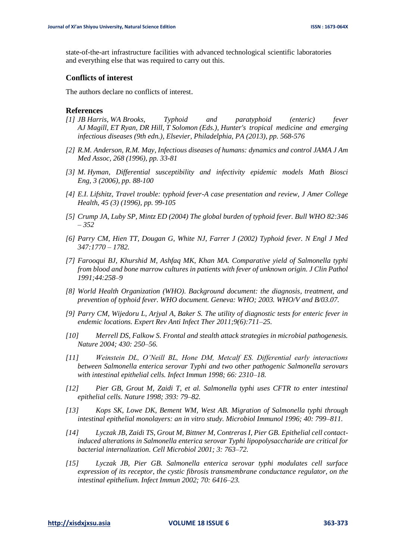state-of-the-art infrastructure facilities with advanced technological scientific laboratories and everything else that was required to carry out this.

#### **Conflicts of interest**

The authors declare no conflicts of interest.

#### **References**

- *[1] JB Harris, WA Brooks, Typhoid and paratyphoid (enteric) fever AJ Magill, ET Ryan, DR Hill, T Solomon (Eds.), Hunter's tropical medicine and emerging infectious diseases (9th edn.), Elsevier, Philadelphia, PA (2013), pp. 568-576*
- *[2] R.M. Anderson, R.M. May, Infectious diseases of humans: dynamics and control JAMA J Am Med Assoc, 268 (1996), pp. 33-81*
- *[3] M. Hyman, Differential susceptibility and infectivity epidemic models Math Biosci Eng, 3 (2006), pp. 88-100*
- *[4] E.I. Lifshitz, Travel trouble: typhoid fever-A case presentation and review, J Amer College Health, 45 (3) (1996), pp. 99-105*
- *[5] Crump JA, Luby SP, Mintz ED (2004) The global burden of typhoid fever. Bull WHO 82:346 – 352*
- *[6] Parry CM, Hien TT, Dougan G, White NJ, Farrer J (2002) Typhoid fever. N Engl J Med 347:1770 – 1782.*
- *[7] Farooqui BJ, Khurshid M, Ashfaq MK, Khan MA. Comparative yield of Salmonella typhi from blood and bone marrow cultures in patients with fever of unknown origin. J Clin Pathol 1991;44:258–9*
- *[8] World Health Organization (WHO). Background document: the diagnosis, treatment, and prevention of typhoid fever. WHO document. Geneva: WHO; 2003. WHO/V and B/03.07.*
- *[9] Parry CM, Wijedoru L, Arjyal A, Baker S. The utility of diagnostic tests for enteric fever in endemic locations. Expert Rev Anti Infect Ther 2011;9(6):711–25.*
- *[10] Merrell DS, Falkow S. Frontal and stealth attack strategies in microbial pathogenesis. Nature 2004; 430: 250–56.*
- *[11] Weinstein DL, O'Neill BL, Hone DM, Metcalf ES. Differential early interactions between Salmonella enterica serovar Typhi and two other pathogenic Salmonella serovars with intestinal epithelial cells. Infect Immun 1998; 66: 2310–18.*
- *[12] Pier GB, Grout M, Zaidi T, et al. Salmonella typhi uses CFTR to enter intestinal epithelial cells. Nature 1998; 393: 79–82.*
- *[13] Kops SK, Lowe DK, Bement WM, West AB. Migration of Salmonella typhi through intestinal epithelial monolayers: an in vitro study. Microbiol Immunol 1996; 40: 799–811.*
- *[14] Lyczak JB, Zaidi TS, Grout M, Bittner M, Contreras I, Pier GB. Epithelial cell contactinduced alterations in Salmonella enterica serovar Typhi lipopolysaccharide are critical for bacterial internalization. Cell Microbiol 2001; 3: 763–72.*
- *[15] Lyczak JB, Pier GB. Salmonella enterica serovar typhi modulates cell surface expression of its receptor, the cystic fibrosis transmembrane conductance regulator, on the intestinal epithelium. Infect Immun 2002; 70: 6416–23.*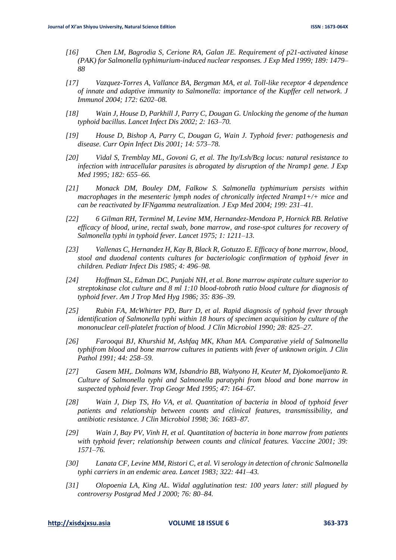- *[16] Chen LM, Bagrodia S, Cerione RA, Galan JE. Requirement of p21-activated kinase (PAK) for Salmonella typhimurium-induced nuclear responses. J Exp Med 1999; 189: 1479– 88*
- *[17] Vazquez-Torres A, Vallance BA, Bergman MA, et al. Toll-like receptor 4 dependence of innate and adaptive immunity to Salmonella: importance of the Kupffer cell network. J Immunol 2004; 172: 6202–08.*
- *[18] Wain J, House D, Parkhill J, Parry C, Dougan G. Unlocking the genome of the human typhoid bacillus. Lancet Infect Dis 2002; 2: 163–70.*
- *[19] House D, Bishop A, Parry C, Dougan G, Wain J. Typhoid fever: pathogenesis and disease. Curr Opin Infect Dis 2001; 14: 573–78.*
- *[20] Vidal S, Tremblay ML, Govoni G, et al. The Ity/Lsh/Bcg locus: natural resistance to infection with intracellular parasites is abrogated by disruption of the Nramp1 gene. J Exp Med 1995; 182: 655–66.*
- *[21] Monack DM, Bouley DM, Falkow S. Salmonella typhimurium persists within macrophages in the mesenteric lymph nodes of chronically infected Nramp1+/+ mice and can be reactivated by IFNgamma neutralization. J Exp Med 2004; 199: 231–41.*
- *[22] 6 Gilman RH, Terminel M, Levine MM, Hernandez-Mendoza P, Hornick RB. Relative efficacy of blood, urine, rectal swab, bone marrow, and rose-spot cultures for recovery of Salmonella typhi in typhoid fever. Lancet 1975; 1: 1211–13.*
- *[23] Vallenas C, Hernandez H, Kay B, Black R, Gotuzzo E. Efficacy of bone marrow, blood, stool and duodenal contents cultures for bacteriologic confirmation of typhoid fever in children. Pediatr Infect Dis 1985; 4: 496–98.*
- *[24] Hoffman SL, Edman DC, Punjabi NH, et al. Bone marrow aspirate culture superior to streptokinase clot culture and 8 ml 1:10 blood-tobroth ratio blood culture for diagnosis of typhoid fever. Am J Trop Med Hyg 1986; 35: 836–39.*
- *[25] Rubin FA, McWhirter PD, Burr D, et al. Rapid diagnosis of typhoid fever through identification of Salmonella typhi within 18 hours of specimen acquisition by culture of the mononuclear cell-platelet fraction of blood. J Clin Microbiol 1990; 28: 825–27.*
- *[26] Farooqui BJ, Khurshid M, Ashfaq MK, Khan MA. Comparative yield of Salmonella typhifrom blood and bone marrow cultures in patients with fever of unknown origin. J Clin Pathol 1991; 44: 258–59.*
- *[27] Gasem MH,. Dolmans WM, Isbandrio BB, Wahyono H, Keuter M, Djokomoeljanto R. Culture of Salmonella typhi and Salmonella paratyphi from blood and bone marrow in suspected typhoid fever. Trop Geogr Med 1995; 47: 164–67.*
- *[28] Wain J, Diep TS, Ho VA, et al. Quantitation of bacteria in blood of typhoid fever patients and relationship between counts and clinical features, transmissibility, and antibiotic resistance. J Clin Microbiol 1998; 36: 1683–87.*
- *[29] Wain J, Bay PV, Vinh H, et al. Quantitation of bacteria in bone marrow from patients with typhoid fever; relationship between counts and clinical features. Vaccine 2001; 39: 1571–76.*
- *[30] Lanata CF, Levine MM, Ristori C, et al. Vi serology in detection of chronic Salmonella typhi carriers in an endemic area. Lancet 1983; 322: 441–43.*
- *[31] Olopoenia LA, King AL. Widal agglutination test: 100 years later: still plagued by controversy Postgrad Med J 2000; 76: 80–84.*